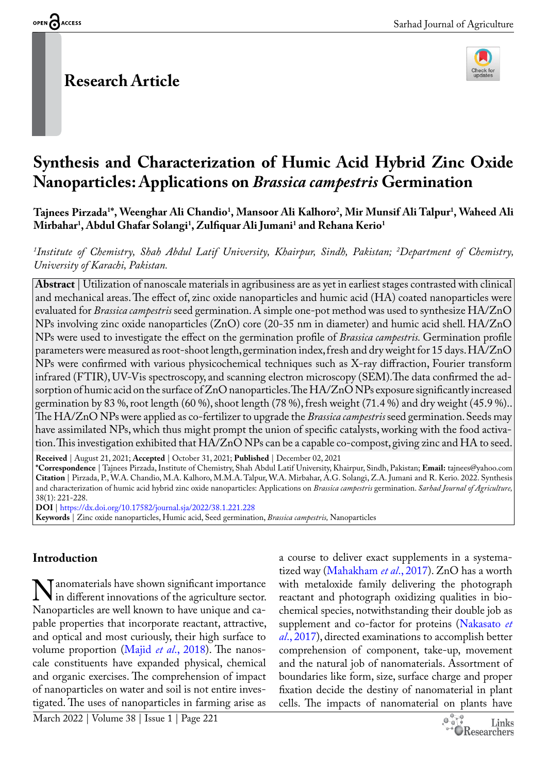# **Research Article**



# **Synthesis and Characterization of Humic Acid Hybrid Zinc Oxide Nanoparticles: Applications on** *Brassica campestris* **Germination**

 $\bf{T}$ ajnees Pirzada $^{\rm{T}*}$ , Weenghar Ali Chandio $^{\rm{1}}$ , Mansoor Ali Kalhoro $^{\rm{2}}$ , Mir Munsif Ali Talpur $^{\rm{1}}$ , Waheed Ali **Mirbahar1 , Abdul Ghafar Solangi1 , Zulfiquar Ali Jumani1 and Rehana Kerio1**

*1 Institute of Chemistry, Shah Abdul Latif University, Khairpur, Sindh, Pakistan; 2 Department of Chemistry, University of Karachi, Pakistan.*

**Abstract** | Utilization of nanoscale materials in agribusiness are as yet in earliest stages contrasted with clinical and mechanical areas. The effect of, zinc oxide nanoparticles and humic acid (HA) coated nanoparticles were evaluated for *Brassica campestris* seed germination. A simple one-pot method was used to synthesize HA/ZnO NPs involving zinc oxide nanoparticles (ZnO) core (20-35 nm in diameter) and humic acid shell. HA/ZnO NPs were used to investigate the effect on the germination profile of *Brassica campestris.* Germination profile parameters were measured as root-shoot length, germination index, fresh and dry weight for 15 days. HA/ZnO NPs were confirmed with various physicochemical techniques such as X-ray diffraction, Fourier transform infrared (FTIR), UV-Vis spectroscopy, and scanning electron microscopy (SEM).The data confirmed the adsorption of humic acid on the surface of ZnO nanoparticles. The HA/ZnO NPs exposure significantly increased germination by 83 %, root length (60 %), shoot length (78 %), fresh weight (71.4 %) and dry weight (45.9 %).. The HA/ZnO NPs were applied as co-fertilizer to upgrade the *Brassica campestris* seed germination. Seeds may have assimilated NPs, which thus might prompt the union of specific catalysts, working with the food activation. This investigation exhibited that HA/ZnO NPs can be a capable co-compost, giving zinc and HA to seed.

**Received** | August 21, 2021; **Accepted** | October 31, 2021; **Published** | December 02, 2021

**\*Correspondence** | Tajnees Pirzada, Institute of Chemistry, Shah Abdul Latif University, Khairpur, Sindh, Pakistan; **Email:** tajnees@yahoo.com **Citation** | Pirzada, P., W.A. Chandio, M.A. Kalhoro, M.M.A. Talpur, W.A. Mirbahar, A.G. Solangi, Z.A. Jumani and R. Kerio. 2022. Synthesis and characterization of humic acid hybrid zinc oxide nanoparticles: Applications on *Brassica campestris* germination. *Sarhad Journal of Agriculture,* 38(1): 221-228.

**DOI** |<https://dx.doi.org/10.17582/journal.sja/2022/38.1.221.228>

**Keywords** | Zinc oxide nanoparticles, Humic acid, Seed germination, *Brassica campestris,* Nanoparticles

#### **Introduction**

**N** anomaterials have shown significant importance<br>in different innovations of the agriculture sector.<br>Nanonarticles are well known to have unique and cain different innovations of the agriculture sector. Nanoparticles are well known to have unique and capable properties that incorporate reactant, attractive, and optical and most curiously, their high surface to volume proportion (Majid *et al*[., 2018\)](#page-6-0). The nanoscale constituents have expanded physical, chemical and organic exercises. The comprehension of impact of nanoparticles on water and soil is not entire investigated. The uses of nanoparticles in farming arise as

a course to deliver exact supplements in a systematized way ([Mahakham](#page-6-1) *et al*., 2017). ZnO has a worth with metaloxide family delivering the photograph reactant and photograph oxidizing qualities in biochemical species, notwithstanding their double job as supplement and co-factor for proteins [\(Nakasato](#page-6-2) *et al*[., 2017](#page-6-2)), directed examinations to accomplish better comprehension of component, take-up, movement and the natural job of nanomaterials. Assortment of boundaries like form, size, surface charge and proper fixation decide the destiny of nanomaterial in plant cells. The impacts of nanomaterial on plants have

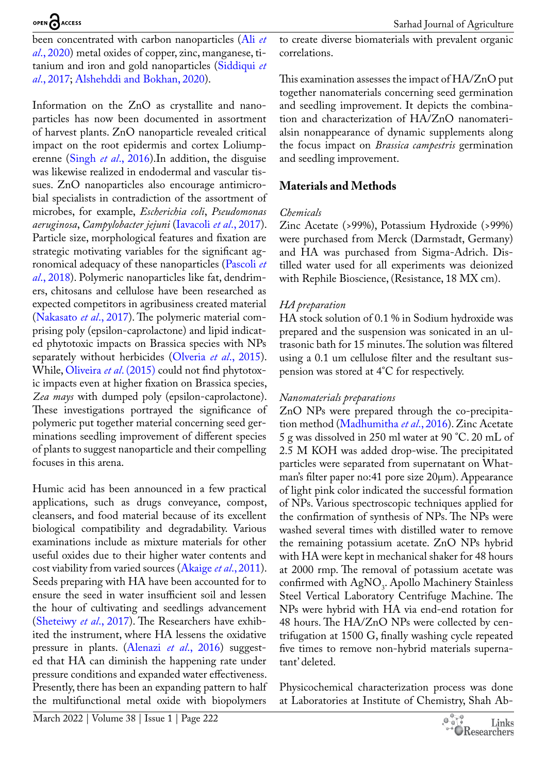been concentrated with carbon nanoparticles ([Ali](#page-6-3) *et al*[., 2020](#page-6-3)) metal oxides of copper, zinc, manganese, titanium and iron and gold nanoparticles [\(Siddiqui](#page-7-0) *et al*[., 2017](#page-7-0); [Alshehddi and Bokhan, 2020\)](#page-6-4).

Information on the ZnO as crystallite and nanoparticles has now been documented in assortment of harvest plants. ZnO nanoparticle revealed critical impact on the root epidermis and cortex Loliumperenne (Singh *et al*[., 2016\)](#page-7-1).In addition, the disguise was likewise realized in endodermal and vascular tissues. ZnO nanoparticles also encourage antimicrobial specialists in contradiction of the assortment of microbes, for example, *Escherichia coli*, *Pseudomonas aeruginosa*, *Campylobacter jejuni* ([Iavacoli](#page-6-5) *et al*., 2017). Particle size, morphological features and fixation are strategic motivating variables for the significant agronomical adequacy of these nanoparticles [\(Pascoli](#page-7-2) *et al*[., 2018](#page-7-2)). Polymeric nanoparticles like fat, dendrimers, chitosans and cellulose have been researched as expected competitors in agribusiness created material [\(Nakasato](#page-6-2) *et al*., 2017). The polymeric material comprising poly (epsilon-caprolactone) and lipid indicated phytotoxic impacts on Brassica species with NPs separately without herbicides ([Olveria](#page-6-6) *et al*., 2015). While, [Oliveira](#page-6-6) *et al*. (2015) could not find phytotoxic impacts even at higher fixation on Brassica species, *Zea mays* with dumped poly (epsilon-caprolactone). These investigations portrayed the significance of polymeric put together material concerning seed germinations seedling improvement of different species of plants to suggest nanoparticle and their compelling focuses in this arena.

Humic acid has been announced in a few practical applications, such as drugs conveyance, compost, cleansers, and food material because of its excellent biological compatibility and degradability. Various examinations include as mixture materials for other useful oxides due to their higher water contents and cost viability from varied sources ([Akaige](#page-6-7) *et al*., 2011). Seeds preparing with HA have been accounted for to ensure the seed in water insufficient soil and lessen the hour of cultivating and seedlings advancement [\(Sheteiwy](#page-7-3) *et al*., 2017). The Researchers have exhibited the instrument, where HA lessens the oxidative pressure in plants. [\(Alenazi](#page-6-8) *et al*., 2016) suggested that HA can diminish the happening rate under pressure conditions and expanded water effectiveness. Presently, there has been an expanding pattern to half the multifunctional metal oxide with biopolymers

to create diverse biomaterials with prevalent organic correlations.

This examination assesses the impact of HA/ZnO put together nanomaterials concerning seed germination and seedling improvement. It depicts the combination and characterization of HA/ZnO nanomaterialsin nonappearance of dynamic supplements along the focus impact on *Brassica campestris* germination and seedling improvement.

# **Materials and Methods**

#### *Chemicals*

Zinc Acetate (>99%), Potassium Hydroxide (>99%) were purchased from Merck (Darmstadt, Germany) and HA was purchased from Sigma-Adrich. Distilled water used for all experiments was deionized with Rephile Bioscience, (Resistance, 18 MX cm).

#### *HA preparation*

HA stock solution of 0.1 % in Sodium hydroxide was prepared and the suspension was sonicated in an ultrasonic bath for 15 minutes. The solution was filtered using a 0.1 um cellulose filter and the resultant suspension was stored at 4°C for respectively.

#### *Nanomaterials preparations*

ZnO NPs were prepared through the co-precipitation method ([Madhumitha](#page-6-9) *et al*., 2016). Zinc Acetate 5 g was dissolved in 250 ml water at 90 °C. 20 mL of 2.5 M KOH was added drop-wise. The precipitated particles were separated from supernatant on Whatman's filter paper no:41 pore size 20µm). Appearance of light pink color indicated the successful formation of NPs. Various spectroscopic techniques applied for the confirmation of synthesis of NPs. The NPs were washed several times with distilled water to remove the remaining potassium acetate. ZnO NPs hybrid with HA were kept in mechanical shaker for 48 hours at 2000 rmp. The removal of potassium acetate was confirmed with  $AgNO_3$ . Apollo Machinery Stainless Steel Vertical Laboratory Centrifuge Machine. The NPs were hybrid with HA via end-end rotation for 48 hours. The HA/ZnO NPs were collected by centrifugation at 1500 G, finally washing cycle repeated five times to remove non-hybrid materials supernatant' deleted.

Physicochemical characterization process was done at Laboratories at Institute of Chemistry, Shah Ab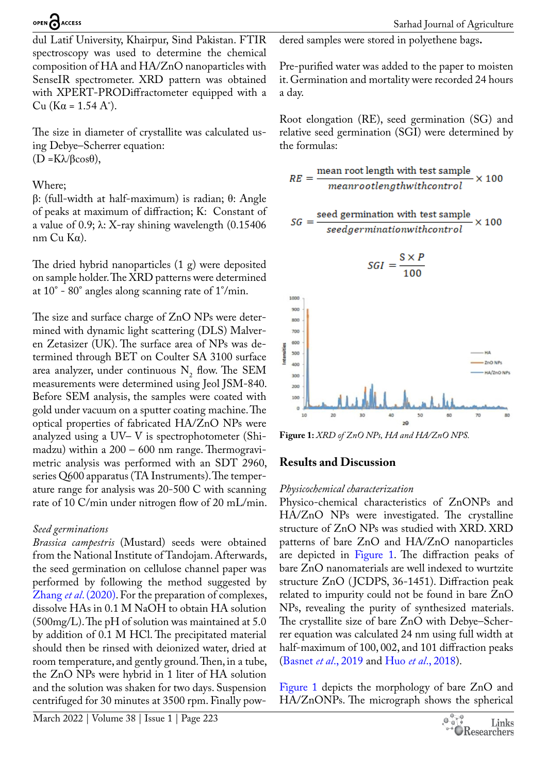dul Latif University, Khairpur, Sind Pakistan. FTIR spectroscopy was used to determine the chemical composition of HA and HA/ZnO nanoparticles with SenseIR spectrometer. XRD pattern was obtained with XPERT-PRODiffractometer equipped with a Cu (Kα = 1.54 A˚).

The size in diameter of crystallite was calculated using Debye–Scherrer equation: (D =Kλ/βcosθ),

#### Where;

β: (full-width at half-maximum) is radian; θ: Angle of peaks at maximum of diffraction; K: Constant of a value of 0.9;  $\lambda$ : X-ray shining wavelength (0.15406) nm Cu Kα).

The dried hybrid nanoparticles (1 g) were deposited on sample holder. The XRD patterns were determined at 10° - 80° angles along scanning rate of 1°/min.

The size and surface charge of ZnO NPs were determined with dynamic light scattering (DLS) Malveren Zetasizer (UK). The surface area of NPs was determined through BET on Coulter SA 3100 surface area analyzer, under continuous  $N_2$  flow. The SEM measurements were determined using Jeol JSM-840. Before SEM analysis, the samples were coated with gold under vacuum on a sputter coating machine. The optical properties of fabricated HA/ZnO NPs were analyzed using a UV– V is spectrophotometer (Shimadzu) within a 200 – 600 nm range. Thermogravimetric analysis was performed with an SDT 2960, series Q600 apparatus (TA Instruments). The temperature range for analysis was 20-500 C with scanning rate of 10 C/min under nitrogen flow of 20 mL/min.

#### *Seed germinations*

*Brassica campestris* (Mustard) seeds were obtained from the National Institute of Tandojam. Afterwards, the seed germination on cellulose channel paper was performed by following the method suggested by Zhang *et al*[. \(2020\).](#page-7-4) For the preparation of complexes, dissolve HAs in 0.1 M NaOH to obtain HA solution  $(500mg/L)$ . The pH of solution was maintained at 5.0 by addition of 0.1 M HCl. The precipitated material should then be rinsed with deionized water, dried at room temperature, and gently ground. Then, in a tube, the ZnO NPs were hybrid in 1 liter of HA solution and the solution was shaken for two days. Suspension centrifuged for 30 minutes at 3500 rpm. Finally powdered samples were stored in polyethene bags**.**

Pre-purified water was added to the paper to moisten it. Germination and mortality were recorded 24 hours a day.

Root elongation (RE), seed germination (SG) and relative seed germination (SGI) were determined by the formulas:

$$
RE = \frac{\text{mean root length with test sample}}{\text{meanrootlength} without \text{control}} \times 100
$$

$$
SG = \frac{\text{seed germination with test sample}}{\text{seedgermination} without the control}
$$

$$
SGI = \frac{S \times P}{100}
$$



<span id="page-2-0"></span>**Figure 1:** *XRD of ZnO NPs, HA and HA/ZnO NPS.*

# **Results and Discussion**

#### *Physicochemical characterization*

Physico-chemical characteristics of ZnONPs and HA/ZnO NPs were investigated. The crystalline structure of ZnO NPs was studied with XRD. XRD patterns of bare ZnO and HA/ZnO nanoparticles are depicted in [Figure 1.](#page-2-0) The diffraction peaks of bare ZnO nanomaterials are well indexed to wurtzite structure ZnO (JCDPS, 36-1451). Diffraction peak related to impurity could not be found in bare ZnO NPs, revealing the purity of synthesized materials. The crystallite size of bare ZnO with Debye–Scherrer equation was calculated 24 nm using full width at half-maximum of 100, 002, and 101 diffraction peaks [\(Basnet](#page-6-10) *et al*., 2019 and Huo *et al*[., 2018](#page-6-11)).

[Figure 1](#page-2-0) depicts the morphology of bare ZnO and HA/ZnONPs. The micrograph shows the spherical

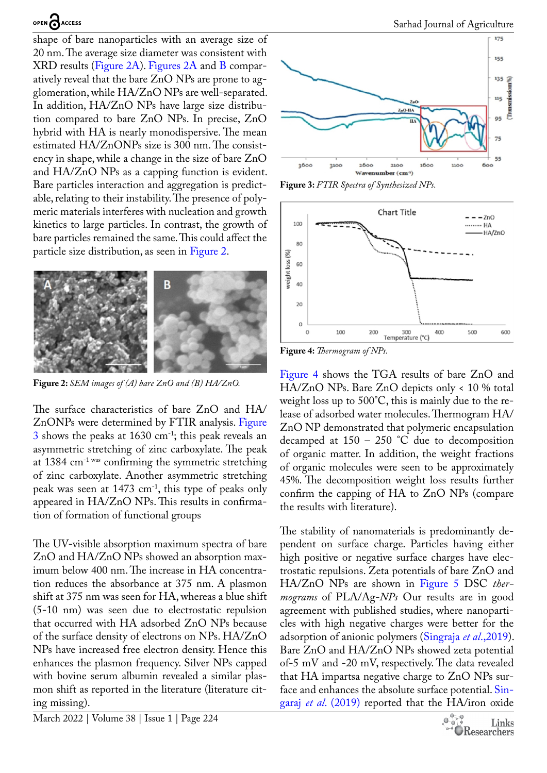shape of bare nanoparticles with an average size of 20 nm. The average size diameter was consistent with XRD results [\(Figure 2A](#page-2-0)). [Figures 2A](#page-3-0) and [B](#page-3-0) comparatively reveal that the bare ZnO NPs are prone to agglomeration, while HA/ZnO NPs are well-separated. In addition, HA/ZnO NPs have large size distribution compared to bare ZnO NPs. In precise, ZnO hybrid with HA is nearly monodispersive. The mean estimated HA/ZnONPs size is 300 nm. The consistency in shape, while a change in the size of bare ZnO and HA/ZnO NPs as a capping function is evident. Bare particles interaction and aggregation is predictable, relating to their instability. The presence of polymeric materials interferes with nucleation and growth kinetics to large particles. In contrast, the growth of bare particles remained the same. This could affect the particle size distribution, as seen in [Figure 2.](#page-3-0)



**Figure 2:** *SEM images of (A) bare ZnO and (B) HA/ZnO.*

<span id="page-3-0"></span>The surface characteristics of bare ZnO and HA/ ZnONPs were determined by FTIR analysis. [Figure](#page-3-1)  [3](#page-3-1) shows the peaks at 1630 cm-1; this peak reveals an asymmetric stretching of zinc carboxylate. The peak at 1384 cm-1 was confirming the symmetric stretching of zinc carboxylate. Another asymmetric stretching peak was seen at 1473 cm-1, this type of peaks only appeared in HA/ZnO NPs. This results in confirmation of formation of functional groups

The UV-visible absorption maximum spectra of bare ZnO and HA/ZnO NPs showed an absorption maximum below 400 nm. The increase in HA concentration reduces the absorbance at 375 nm. A plasmon shift at 375 nm was seen for HA, whereas a blue shift (5-10 nm) was seen due to electrostatic repulsion that occurred with HA adsorbed ZnO NPs because of the surface density of electrons on NPs. HA/ZnO NPs have increased free electron density. Hence this enhances the plasmon frequency. Silver NPs capped with bovine serum albumin revealed a similar plasmon shift as reported in the literature (literature citing missing).



<span id="page-3-1"></span>**Figure 3:** *FTIR Spectra of Synthesized NPs.*



<span id="page-3-2"></span>**Figure 4:** *Thermogram of NPs.*

[Figure 4](#page-3-2) shows the TGA results of bare ZnO and HA/ZnO NPs. Bare ZnO depicts only < 10 % total weight loss up to 500°C, this is mainly due to the release of adsorbed water molecules. Thermogram HA/ ZnO NP demonstrated that polymeric encapsulation decamped at  $150 - 250$  °C due to decomposition of organic matter. In addition, the weight fractions of organic molecules were seen to be approximately 45%. The decomposition weight loss results further confirm the capping of HA to ZnO NPs (compare the results with literature).

The stability of nanomaterials is predominantly dependent on surface charge. Particles having either high positive or negative surface charges have electrostatic repulsions. Zeta potentials of bare ZnO and HA/ZnO NPs are shown in [Figure 5](#page-4-0)  DSC *thermograms*  of PLA/Ag-*NPs* Our results are in good agreement with published studies, where nanoparticles with high negative charges were better for the adsorption of anionic polymers [\(Singraja](#page-7-5) *et al*.,2019). Bare ZnO and HA/ZnO NPs showed zeta potential of-5 mV and -20 mV, respectively. The data revealed that HA impartsa negative charge to ZnO NPs surface and enhances the absolute surface potential. [Sin](#page-7-5)garaj *et al*[. \(2019\)](#page-7-5) reported that the HA/iron oxide

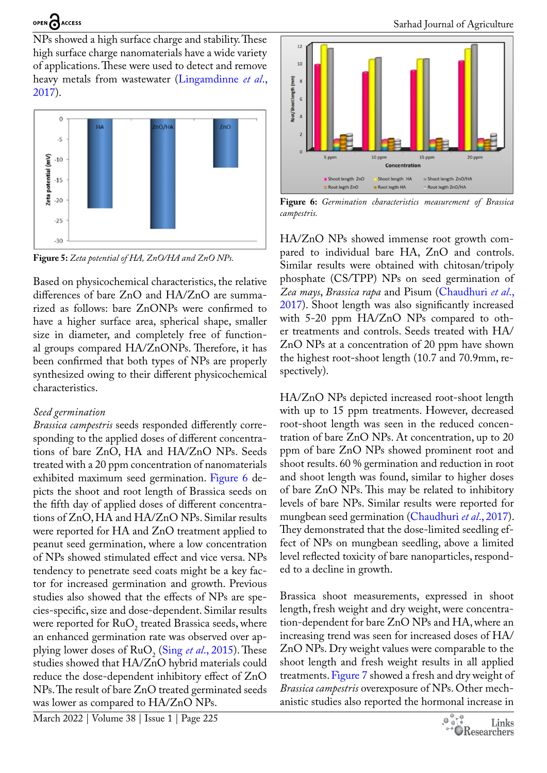NPs showed a high surface charge and stability. These high surface charge nanomaterials have a wide variety of applications. These were used to detect and remove heavy metals from wastewater [\(Lingamdinne](#page-6-12) *et al*., [2017](#page-6-12)).



<span id="page-4-0"></span>**Figure 5:** *Zeta potential of HA, ZnO/HA and ZnO NPs.*

Based on physicochemical characteristics, the relative differences of bare ZnO and HA/ZnO are summarized as follows: bare ZnONPs were confirmed to have a higher surface area, spherical shape, smaller size in diameter, and completely free of functional groups compared HA/ZnONPs. Therefore, it has been confirmed that both types of NPs are properly synthesized owing to their different physicochemical characteristics.

#### *Seed germination*

*Brassica campestris* seeds responded differently corresponding to the applied doses of different concentrations of bare ZnO, HA and HA/ZnO NPs. Seeds treated with a 20 ppm concentration of nanomaterials exhibited maximum seed germination. [Figure 6](#page-4-1) depicts the shoot and root length of Brassica seeds on the fifth day of applied doses of different concentrations of ZnO, HA and HA/ZnO NPs. Similar results were reported for HA and ZnO treatment applied to peanut seed germination, where a low concentration of NPs showed stimulated effect and vice versa. NPs tendency to penetrate seed coats might be a key factor for increased germination and growth. Previous studies also showed that the effects of NPs are species-specific, size and dose-dependent. Similar results were reported for  $RuO<sub>2</sub>$  treated Brassica seeds, where an enhanced germination rate was observed over applying lower doses of  $RuO<sub>2</sub>$  (Sing *et al.*, 2015). These studies showed that HA/ZnO hybrid materials could reduce the dose-dependent inhibitory effect of ZnO NPs. The result of bare ZnO treated germinated seeds was lower as compared to HA/ZnO NPs.



<span id="page-4-1"></span>**Figure 6:** *Germination characteristics measurement of Brassica campestris.*

HA/ZnO NPs showed immense root growth compared to individual bare HA, ZnO and controls. Similar results were obtained with chitosan/tripoly phosphate (CS/TPP) NPs on seed germination of *Zea mays*, *Brassica rapa* and Pisum ([Chaudhuri](#page-6-13) *et al*., [2017\)](#page-6-13). Shoot length was also significantly increased with 5-20 ppm HA/ZnO NPs compared to other treatments and controls. Seeds treated with HA/ ZnO NPs at a concentration of 20 ppm have shown the highest root-shoot length (10.7 and 70.9mm, respectively).

HA/ZnO NPs depicted increased root-shoot length with up to 15 ppm treatments. However, decreased root-shoot length was seen in the reduced concentration of bare ZnO NPs. At concentration, up to 20 ppm of bare ZnO NPs showed prominent root and shoot results. 60 % germination and reduction in root and shoot length was found, similar to higher doses of bare ZnO NPs. This may be related to inhibitory levels of bare NPs. Similar results were reported for mungbean seed germination ([Chaudhuri](#page-6-13) *et al*., 2017). They demonstrated that the dose-limited seedling effect of NPs on mungbean seedling, above a limited level reflected toxicity of bare nanoparticles, responded to a decline in growth.

Brassica shoot measurements, expressed in shoot length, fresh weight and dry weight, were concentration-dependent for bare ZnO NPs and HA, where an increasing trend was seen for increased doses of HA/ ZnO NPs. Dry weight values were comparable to the shoot length and fresh weight results in all applied treatments. [Figure 7](#page-5-0) showed a fresh and dry weight of *Brassica campestris* overexposure of NPs. Other mechanistic studies also reported the hormonal increase in

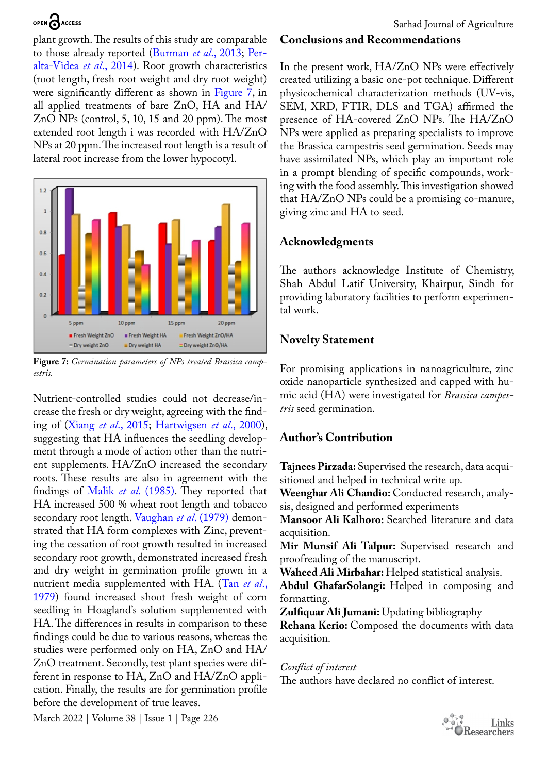plant growth. The results of this study are comparable to those already reported [\(Burman](#page-6-14) *et al*., 2013; [Per](#page-7-7)[alta-Videa](#page-7-7) *et al*., 2014). Root growth characteristics (root length, fresh root weight and dry root weight) were significantly different as shown in [Figure 7,](#page-5-0) in all applied treatments of bare ZnO, HA and HA/ ZnO NPs (control, 5, 10, 15 and 20 ppm). The most extended root length i was recorded with HA/ZnO NPs at 20 ppm. The increased root length is a result of lateral root increase from the lower hypocotyl.



<span id="page-5-0"></span>**Figure 7:** *Germination parameters of NPs treated Brassica campestris.*

Nutrient-controlled studies could not decrease/increase the fresh or dry weight, agreeing with the finding of (Xiang *et al*[., 2015;](#page-7-8) [Hartwigsen](#page-6-15) *et al*., 2000), suggesting that HA influences the seedling development through a mode of action other than the nutrient supplements. HA/ZnO increased the secondary roots. These results are also in agreement with the findings of Malik *et al*[. \(1985\).](#page-6-16) They reported that HA increased 500 % wheat root length and tobacco secondary root length. [Vaughan](#page-7-9) *et al*. (1979) demonstrated that HA form complexes with Zinc, preventing the cessation of root growth resulted in increased secondary root growth, demonstrated increased fresh and dry weight in germination profile grown in a nutrient media supplemented with HA. [\(Tan](#page-7-10) *et al*., [1979](#page-7-10)) found increased shoot fresh weight of corn seedling in Hoagland's solution supplemented with HA. The differences in results in comparison to these findings could be due to various reasons, whereas the studies were performed only on HA, ZnO and HA/ ZnO treatment. Secondly, test plant species were different in response to HA, ZnO and HA/ZnO application. Finally, the results are for germination profile before the development of true leaves.

## **Conclusions and Recommendations**

In the present work, HA/ZnO NPs were effectively created utilizing a basic one-pot technique. Different physicochemical characterization methods (UV-vis, SEM, XRD, FTIR, DLS and TGA) affirmed the presence of HA-covered ZnO NPs. The HA/ZnO NPs were applied as preparing specialists to improve the Brassica campestris seed germination. Seeds may have assimilated NPs, which play an important role in a prompt blending of specific compounds, working with the food assembly. This investigation showed that HA/ZnO NPs could be a promising co-manure, giving zinc and HA to seed.

## **Acknowledgments**

The authors acknowledge Institute of Chemistry, Shah Abdul Latif University, Khairpur, Sindh for providing laboratory facilities to perform experimental work.

## **Novelty Statement**

For promising applications in nanoagriculture, zinc oxide nanoparticle synthesized and capped with humic acid (HA) were investigated for *Brassica campestris* seed germination.

# **Author's Contribution**

**Tajnees Pirzada:** Supervised the research, data acquisitioned and helped in technical write up.

**Weenghar Ali Chandio:** Conducted research, analysis, designed and performed experiments

**Mansoor Ali Kalhoro:** Searched literature and data acquisition.

**Mir Munsif Ali Talpur:** Supervised research and proofreading of the manuscript.

**Waheed Ali Mirbahar:** Helped statistical analysis.

**Abdul GhafarSolangi:** Helped in composing and formatting.

**Zulfiquar Ali Jumani:** Updating bibliography

**Rehana Kerio:** Composed the documents with data acquisition.

# *Conflict of interest*

The authors have declared no conflict of interest.

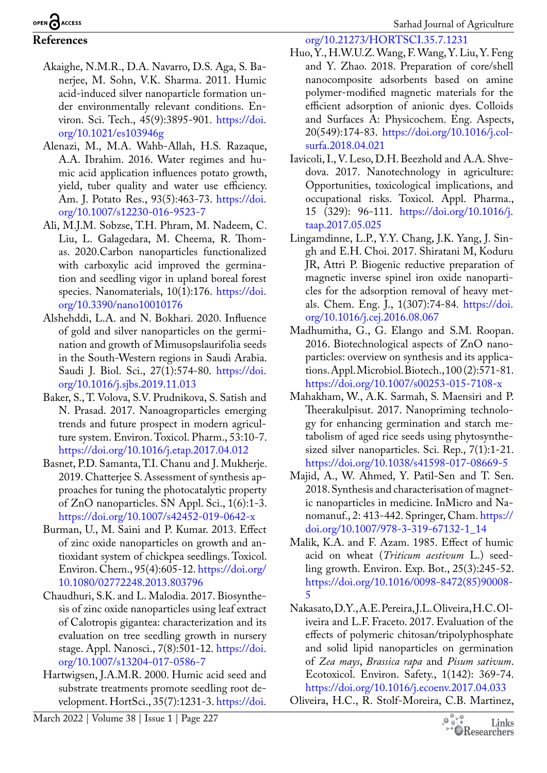Sarhad Journal of Agriculture

# OPEN CACCESS

# **References**

- <span id="page-6-7"></span>Akaighe, N.M.R., D.A. Navarro, D.S. Aga, S. Banerjee, M. Sohn, V.K. Sharma. 2011. Humic acid-induced silver nanoparticle formation under environmentally relevant conditions. Environ. Sci. Tech., 45(9):3895-901. [https://doi.](https://doi.org/10.1021/es103946g) [org/10.1021/es103946g](https://doi.org/10.1021/es103946g)
- <span id="page-6-8"></span>Alenazi, M., M.A. Wahb-Allah, H.S. Razaque, A.A. Ibrahim. 2016. Water regimes and humic acid application influences potato growth, yield, tuber quality and water use efficiency. Am. J. Potato Res., 93(5):463-73. [https://doi.](https://doi.org/10.1007/s12230-016-9523-7) [org/10.1007/s12230-016-9523-7](https://doi.org/10.1007/s12230-016-9523-7)
- <span id="page-6-3"></span>Ali, M.J.M. Sobzse, T.H. Phram, M. Nadeem, C. Liu, L. Galagedara, M. Cheema, R. Thomas. 2020.Carbon nanoparticles functionalized with carboxylic acid improved the germination and seedling vigor in upland boreal forest species. Nanomaterials, 10(1):176. [https://doi.](https://doi.org/10.3390/nano10010176) [org/10.3390/nano10010176](https://doi.org/10.3390/nano10010176)
- <span id="page-6-4"></span>Alshehddi, L.A. and N. Bokhari. 2020. Influence of gold and silver nanoparticles on the germination and growth of Mimusopslaurifolia seeds in the South-Western regions in Saudi Arabia. Saudi J. Biol. Sci., 27(1):574-80. [https://doi.](https://doi.org/10.1016/j.sjbs.2019.11.013) [org/10.1016/j.sjbs.2019.11.013](https://doi.org/10.1016/j.sjbs.2019.11.013)
- Baker, S., T. Volova, S.V. Prudnikova, S. Satish and N. Prasad. 2017. Nanoagroparticles emerging trends and future prospect in modern agriculture system. Environ. Toxicol. Pharm., 53:10-7. <https://doi.org/10.1016/j.etap.2017.04.012>
- <span id="page-6-10"></span>Basnet, P.D. Samanta, T.I. Chanu and J. Mukherje. 2019. Chatterjee S. Assessment of synthesis approaches for tuning the photocatalytic property of ZnO nanoparticles. SN Appl. Sci., 1(6):1-3. <https://doi.org/10.1007/s42452-019-0642-x>
- <span id="page-6-14"></span>Burman, U., M. Saini and P. Kumar. 2013. Effect of zinc oxide nanoparticles on growth and antioxidant system of chickpea seedlings. Toxicol. Environ. Chem., 95(4):605-12. [https://doi.org/](https://doi.org/10.1080/02772248.2013.803796) [10.1080/02772248.2013.803796](https://doi.org/10.1080/02772248.2013.803796)
- <span id="page-6-13"></span>Chaudhuri, S.K. and L. Malodia. 2017. Biosynthesis of zinc oxide nanoparticles using leaf extract of Calotropis gigantea: characterization and its evaluation on tree seedling growth in nursery stage. Appl. Nanosci., 7(8):501-12. [https://doi.](https://doi.org/10.1007/s13204-017-0586-7) [org/10.1007/s13204-017-0586-7](https://doi.org/10.1007/s13204-017-0586-7)
- <span id="page-6-15"></span>Hartwigsen, J.A.M.R. 2000. Humic acid seed and substrate treatments promote seedling root development. HortSci., 35(7):1231-3. [https://doi.](https://doi.org/10.21273/HORTSCI.35.7.1231)

March 2022 | Volume 38 | Issue 1 | Page 227

[org/10.21273/HORTSCI.35.7.1231](https://doi.org/10.21273/HORTSCI.35.7.1231)

- <span id="page-6-11"></span>Huo, Y., H.W.U.Z. Wang, F. Wang, Y. Liu, Y. Feng and Y. Zhao. 2018. Preparation of core/shell nanocomposite adsorbents based on amine polymer-modified magnetic materials for the efficient adsorption of anionic dyes. Colloids and Surfaces A: Physicochem. Eng. Aspects, 20(549):174-83. [https://doi.org/10.1016/j.col](https://doi.org/10.1016/j.colsurfa.2018.04.021)[surfa.2018.04.021](https://doi.org/10.1016/j.colsurfa.2018.04.021)
- <span id="page-6-5"></span>Iavicoli, I., V. Leso, D.H. Beezhold and A.A. Shvedova. 2017. Nanotechnology in agriculture: Opportunities, toxicological implications, and occupational risks. Toxicol. Appl. Pharma., 15 (329): 96-111. [https://doi.org/10.1016/j.](https://doi.org/10.1016/j.taap.2017.05.025) [taap.2017.05.025](https://doi.org/10.1016/j.taap.2017.05.025)
- <span id="page-6-12"></span>Lingamdinne, L.P., Y.Y. Chang, J.K. Yang, J. Singh and E.H. Choi. 2017. Shiratani M, Koduru JR, Attri P. Biogenic reductive preparation of magnetic inverse spinel iron oxide nanoparticles for the adsorption removal of heavy metals. Chem. Eng. J., 1(307):74-84. [https://doi.](https://doi.org/10.1016/j.cej.2016.08.067) [org/10.1016/j.cej.2016.08.067](https://doi.org/10.1016/j.cej.2016.08.067)
- <span id="page-6-9"></span>Madhumitha, G., G. Elango and S.M. Roopan. 2016. Biotechnological aspects of ZnO nanoparticles: overview on synthesis and its applications. Appl. Microbiol. Biotech., 100 (2):571-81. <https://doi.org/10.1007/s00253-015-7108-x>
- <span id="page-6-1"></span>Mahakham, W., A.K. Sarmah, S. Maensiri and P. Theerakulpisut. 2017. Nanopriming technology for enhancing germination and starch metabolism of aged rice seeds using phytosynthesized silver nanoparticles. Sci. Rep., 7(1):1-21. <https://doi.org/10.1038/s41598-017-08669-5>
- <span id="page-6-0"></span>Majid, A., W. Ahmed, Y. Patil-Sen and T. Sen. 2018. Synthesis and characterisation of magnetic nanoparticles in medicine. InMicro and Nanomanuf., 2: 413-442. Springer, Cham. [https://](https://doi.org/10.1007/978-3-319-67132-1_14) [doi.org/10.1007/978-3-319-67132-1\\_14](https://doi.org/10.1007/978-3-319-67132-1_14)
- <span id="page-6-16"></span>Malik, K.A. and F. Azam. 1985. Effect of humic acid on wheat (*Triticum aestivum* L.) seedling growth. Environ. Exp. Bot., 25(3):245-52. [https://doi.org/10.1016/0098-8472\(85\)90008-](https://doi.org/10.1016/0098-8472(85)90008-5) [5](https://doi.org/10.1016/0098-8472(85)90008-5)
- <span id="page-6-2"></span>Nakasato, D.Y., A.E. Pereira, J.L. Oliveira, H.C. Oliveira and L.F. Fraceto. 2017. Evaluation of the effects of polymeric chitosan/tripolyphosphate and solid lipid nanoparticles on germination of *Zea mays*, *Brassica rapa* and *Pisum sativum*. Ecotoxicol. Environ. Safety., 1(142): 369-74. <https://doi.org/10.1016/j.ecoenv.2017.04.033>
- <span id="page-6-6"></span>Oliveira, H.C., R. Stolf-Moreira, C.B. Martinez,